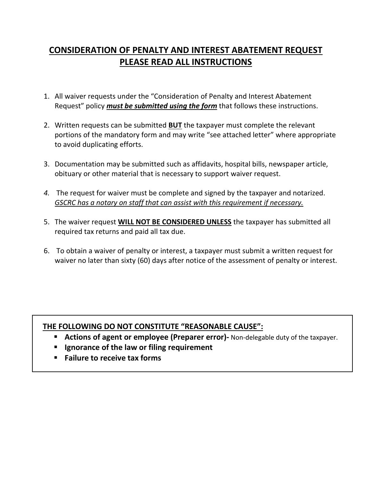## **CONSIDERATION OF PENALTY AND INTEREST ABATEMENT REQUEST PLEASE READ ALL INSTRUCTIONS**

- 1. All waiver requests under the "Consideration of Penalty and Interest Abatement Request" policy *must be submitted using the form* that follows these instructions.
- 2. Written requests can be submitted **BUT** the taxpayer must complete the relevant portions of the mandatory form and may write "see attached letter" where appropriate to avoid duplicating efforts.
- 3. Documentation may be submitted such as affidavits, hospital bills, newspaper article, obituary or other material that is necessary to support waiver request.
- *4.* The request for waiver must be complete and signed by the taxpayer and notarized. *GSCRC has a notary on staff that can assist with this requirement if necessary.*
- 5. The waiver request **WILL NOT BE CONSIDERED UNLESS** the taxpayer has submitted all required tax returns and paid all tax due.
- 6. To obtain a waiver of penalty or interest, a taxpayer must submit a written request for waiver no later than sixty (60) days after notice of the assessment of penalty or interest.

## **THE FOLLOWING DO NOT CONSTITUTE "REASONABLE CAUSE":**

- **E** Actions of agent or employee (Preparer error)- Non-delegable duty of the taxpayer.
- **Ignorance of the law or filing requirement**
- **Failure to receive tax forms**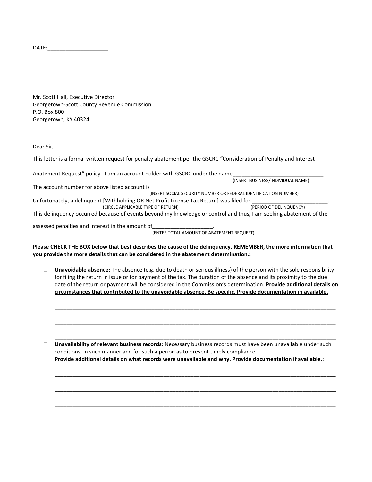DATE:\_\_\_\_\_\_\_\_\_\_\_\_\_\_\_\_\_\_\_\_

Mr. Scott Hall, Executive Director Georgetown-Scott County Revenue Commission P.O. Box 800 Georgetown, KY 40324

Dear Sir,

This letter is a formal written request for penalty abatement per the GSCRC "Consideration of Penalty and Interest

Abatement Request" policy. I am an account holder with GSCRC under the name

(INSERT BUSINESS/INDIVIDUAL NAME)

The account number for above listed account is (INSERT SOCIAL SECURITY NUMBER OR FEDERAL IDENTIFICATION NUMBER) Unfortunately, a delinquent [Withholding OR Net Profit License Tax Return] was filed for \_\_\_\_\_\_\_\_\_\_\_\_\_\_\_\_\_\_\_\_\_<br>(PERIOD OF DELINQUENCY) (CIRCLE APPLICABLE TYPE OF RETURN)

This delinquency occurred because of events beyond my knowledge or control and thus, I am seeking abatement of the

assessed penalties and interest in the amount of

(ENTER TOTAL AMOUNT OF ABATEMENT REQUEST)

**Please CHECK THE BOX below that best describes the cause of the delinquency. REMEMBER, the more information that you provide the more details that can be considered in the abatement determination.:**

 **Unavoidable absence:** The absence (e.g. due to death or serious illness) of the person with the sole responsibility for filing the return in issue or for payment of the tax. The duration of the absence and its proximity to the due date of the return or payment will be considered in the Commission's determination. **Provide additional details on circumstances that contributed to the unavoidable absence. Be specific. Provide documentation in available.**

\_\_\_\_\_\_\_\_\_\_\_\_\_\_\_\_\_\_\_\_\_\_\_\_\_\_\_\_\_\_\_\_\_\_\_\_\_\_\_\_\_\_\_\_\_\_\_\_\_\_\_\_\_\_\_\_\_\_\_\_\_\_\_\_\_\_\_\_\_\_\_\_\_\_\_\_\_\_\_\_\_\_\_\_\_\_\_\_\_\_\_\_\_ \_\_\_\_\_\_\_\_\_\_\_\_\_\_\_\_\_\_\_\_\_\_\_\_\_\_\_\_\_\_\_\_\_\_\_\_\_\_\_\_\_\_\_\_\_\_\_\_\_\_\_\_\_\_\_\_\_\_\_\_\_\_\_\_\_\_\_\_\_\_\_\_\_\_\_\_\_\_\_\_\_\_\_\_\_\_\_\_\_\_\_\_\_ \_\_\_\_\_\_\_\_\_\_\_\_\_\_\_\_\_\_\_\_\_\_\_\_\_\_\_\_\_\_\_\_\_\_\_\_\_\_\_\_\_\_\_\_\_\_\_\_\_\_\_\_\_\_\_\_\_\_\_\_\_\_\_\_\_\_\_\_\_\_\_\_\_\_\_\_\_\_\_\_\_\_\_\_\_\_\_\_\_\_\_\_\_ \_\_\_\_\_\_\_\_\_\_\_\_\_\_\_\_\_\_\_\_\_\_\_\_\_\_\_\_\_\_\_\_\_\_\_\_\_\_\_\_\_\_\_\_\_\_\_\_\_\_\_\_\_\_\_\_\_\_\_\_\_\_\_\_\_\_\_\_\_\_\_\_\_\_\_\_\_\_\_\_\_\_\_\_\_\_\_\_\_\_\_\_\_ \_\_\_\_\_\_\_\_\_\_\_\_\_\_\_\_\_\_\_\_\_\_\_\_\_\_\_\_\_\_\_\_\_\_\_\_\_\_\_\_\_\_\_\_\_\_\_\_\_\_\_\_\_\_\_\_\_\_\_\_\_\_\_\_\_\_\_\_\_\_\_\_\_\_\_\_\_\_\_\_\_\_\_\_\_\_\_\_\_\_\_\_\_

 **Unavailability of relevant business records:** Necessary business records must have been unavailable under such conditions, in such manner and for such a period as to prevent timely compliance. **Provide additional details on what records were unavailable and why. Provide documentation if available.:**

\_\_\_\_\_\_\_\_\_\_\_\_\_\_\_\_\_\_\_\_\_\_\_\_\_\_\_\_\_\_\_\_\_\_\_\_\_\_\_\_\_\_\_\_\_\_\_\_\_\_\_\_\_\_\_\_\_\_\_\_\_\_\_\_\_\_\_\_\_\_\_\_\_\_\_\_\_\_\_\_\_\_\_\_\_\_\_\_\_\_\_\_\_ \_\_\_\_\_\_\_\_\_\_\_\_\_\_\_\_\_\_\_\_\_\_\_\_\_\_\_\_\_\_\_\_\_\_\_\_\_\_\_\_\_\_\_\_\_\_\_\_\_\_\_\_\_\_\_\_\_\_\_\_\_\_\_\_\_\_\_\_\_\_\_\_\_\_\_\_\_\_\_\_\_\_\_\_\_\_\_\_\_\_\_\_\_ \_\_\_\_\_\_\_\_\_\_\_\_\_\_\_\_\_\_\_\_\_\_\_\_\_\_\_\_\_\_\_\_\_\_\_\_\_\_\_\_\_\_\_\_\_\_\_\_\_\_\_\_\_\_\_\_\_\_\_\_\_\_\_\_\_\_\_\_\_\_\_\_\_\_\_\_\_\_\_\_\_\_\_\_\_\_\_\_\_\_\_\_\_ \_\_\_\_\_\_\_\_\_\_\_\_\_\_\_\_\_\_\_\_\_\_\_\_\_\_\_\_\_\_\_\_\_\_\_\_\_\_\_\_\_\_\_\_\_\_\_\_\_\_\_\_\_\_\_\_\_\_\_\_\_\_\_\_\_\_\_\_\_\_\_\_\_\_\_\_\_\_\_\_\_\_\_\_\_\_\_\_\_\_\_\_\_ \_\_\_\_\_\_\_\_\_\_\_\_\_\_\_\_\_\_\_\_\_\_\_\_\_\_\_\_\_\_\_\_\_\_\_\_\_\_\_\_\_\_\_\_\_\_\_\_\_\_\_\_\_\_\_\_\_\_\_\_\_\_\_\_\_\_\_\_\_\_\_\_\_\_\_\_\_\_\_\_\_\_\_\_\_\_\_\_\_\_\_\_\_ \_\_\_\_\_\_\_\_\_\_\_\_\_\_\_\_\_\_\_\_\_\_\_\_\_\_\_\_\_\_\_\_\_\_\_\_\_\_\_\_\_\_\_\_\_\_\_\_\_\_\_\_\_\_\_\_\_\_\_\_\_\_\_\_\_\_\_\_\_\_\_\_\_\_\_\_\_\_\_\_\_\_\_\_\_\_\_\_\_\_\_\_\_